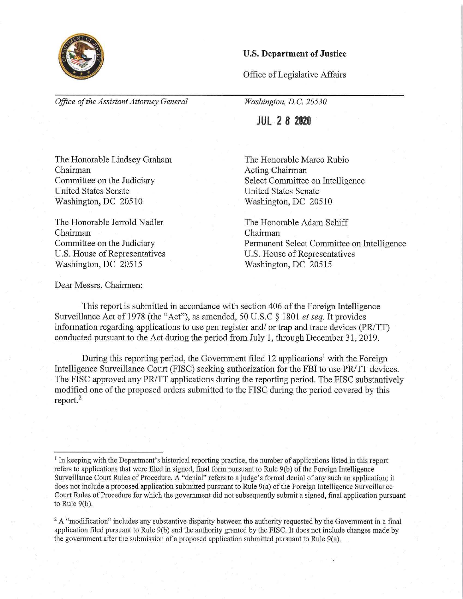

## **U.S. Department of Justice**

Office of Legislative Affairs

*Office of the Assistant Attorney General* 

*Washington, D.C. 20530* 

**JUL 2 8 2020** 

The Honorable Marco Rubio Acting Chairman Select Committee on Intelligence United States Senate Washington, DC 20510

The Honorable Adam Schiff Chairman Permanent Select Committee on Intelligence U.S. House of Representatives Washington, DC 20515

The Honorable Lindsey Graham Chairman Committee on the Judiciary United States Senate Washington, DC 20510

The Honorable Jerrold Nadler Chairman Committee on the Judiciary U.S. House of Representatives Washington, DC 20515

Dear Messrs. Chairmen:

This report is submitted in accordance with section 406 of the Foreign Intelligence Surveillance Act of 1978 (the "Act"), as amended, 50 U.S.C § 1801 *et seq.* It provides information regarding applications to use pen register and/ or trap and trace devices (PR/TT) conducted pursuant to the Act during the period from July **1,** through December 31, 2019.

During this reporting period, the Government filed 12 applications<sup>1</sup> with the Foreign Intelligence Surveillance Court (FISC) seeking authorization for the FBI to use PR/TT devices. The FISC approved any PR/TT applications during the reporting period. The FISC substantively modified one of the proposed orders submitted to the FISC during the period covered by this report.<sup>2</sup>

 $<sup>1</sup>$  In keeping with the Department's historical reporting practice, the number of applications listed in this report</sup> refers to applications that were filed in signed, final form pursuant to Rule 9(b) of the Foreign Intelligence Surveillance Court Rules of Procedure. A "denial" refers to a judge's formal denial of any such an application; it does not include a proposed application submitted pursuant to Rule 9(a) of the Foreign Intelligence Surveillance Court Rules of Procedure for which the government did not subsequently submit a signed, final application pursuant to Rule  $9(b)$ .

 $2A$  "modification" includes any substantive disparity between the authority requested by the Government in a final application filed pursuant to Rule 9(b) and the authority granted by the FISC. It does not include changes made by the government after the submission of a proposed application submitted pursuant to Rule 9(a).